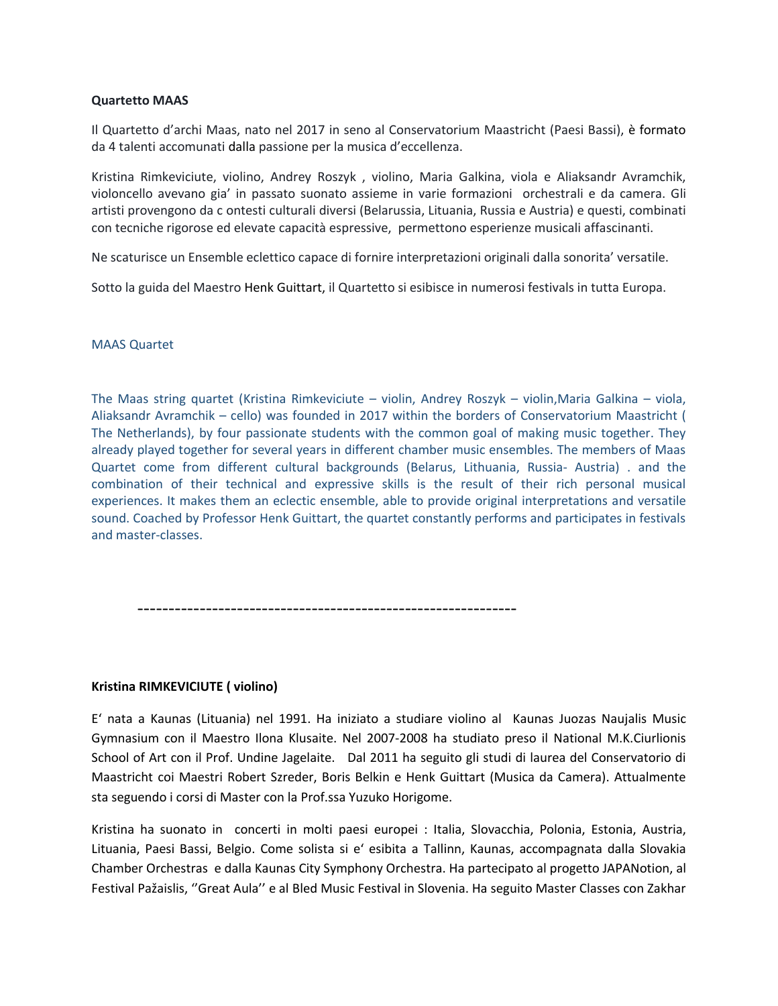### **Quartetto MAAS**

Il Quartetto d'archi Maas, nato nel 2017 in seno al Conservatorium Maastricht (Paesi Bassi), è formato da 4 talenti accomunati dalla passione per la musica d'eccellenza.

Kristina Rimkeviciute, violino, Andrey Roszyk , violino, Maria Galkina, viola e Aliaksandr Avramchik, violoncello avevano gia' in passato suonato assieme in varie formazioni orchestrali e da camera. Gli artisti provengono da c ontesti culturali diversi (Belarussia, Lituania, Russia e Austria) e questi, combinati con tecniche rigorose ed elevate capacità espressive, permettono esperienze musicali affascinanti.

Ne scaturisce un Ensemble eclettico capace di fornire interpretazioni originali dalla sonorita' versatile.

Sotto la guida del Maestro Henk Guittart, il Quartetto si esibisce in numerosi festivals in tutta Europa.

# MAAS Quartet

The Maas string quartet (Kristina Rimkeviciute – violin, Andrey Roszyk – violin,Maria Galkina – viola, Aliaksandr Avramchik – cello) was founded in 2017 within the borders of Conservatorium Maastricht ( The Netherlands), by four passionate students with the common goal of making music together. They already played together for several years in different chamber music ensembles. The members of Maas Quartet come from different cultural backgrounds (Belarus, Lithuania, Russia- Austria) . and the combination of their technical and expressive skills is the result of their rich personal musical experiences. It makes them an eclectic ensemble, able to provide original interpretations and versatile sound. Coached by Professor Henk Guittart, the quartet constantly performs and participates in festivals and master-classes.

-------------------------------------------------------------

# **Kristina RIMKEVICIUTE ( violino)**

E' nata a Kaunas (Lituania) nel 1991. Ha iniziato a studiare violino al Kaunas Juozas Naujalis Music Gymnasium con il Maestro Ilona Klusaite. Nel 2007-2008 ha studiato preso il National M.K.Ciurlionis School of Art con il Prof. Undine Jagelaite. Dal 2011 ha seguito gli studi di laurea del Conservatorio di Maastricht coi Maestri Robert Szreder, Boris Belkin e Henk Guittart (Musica da Camera). Attualmente sta seguendo i corsi di Master con la Prof.ssa Yuzuko Horigome.

Kristina ha suonato in concerti in molti paesi europei : Italia, Slovacchia, Polonia, Estonia, Austria, Lituania, Paesi Bassi, Belgio. Come solista si e' esibita a Tallinn, Kaunas, accompagnata dalla Slovakia Chamber Orchestras e dalla Kaunas City Symphony Orchestra. Ha partecipato al progetto JAPANotion, al Festival Pažaislis, ''Great Aula'' e al Bled Music Festival in Slovenia. Ha seguito Master Classes con Zakhar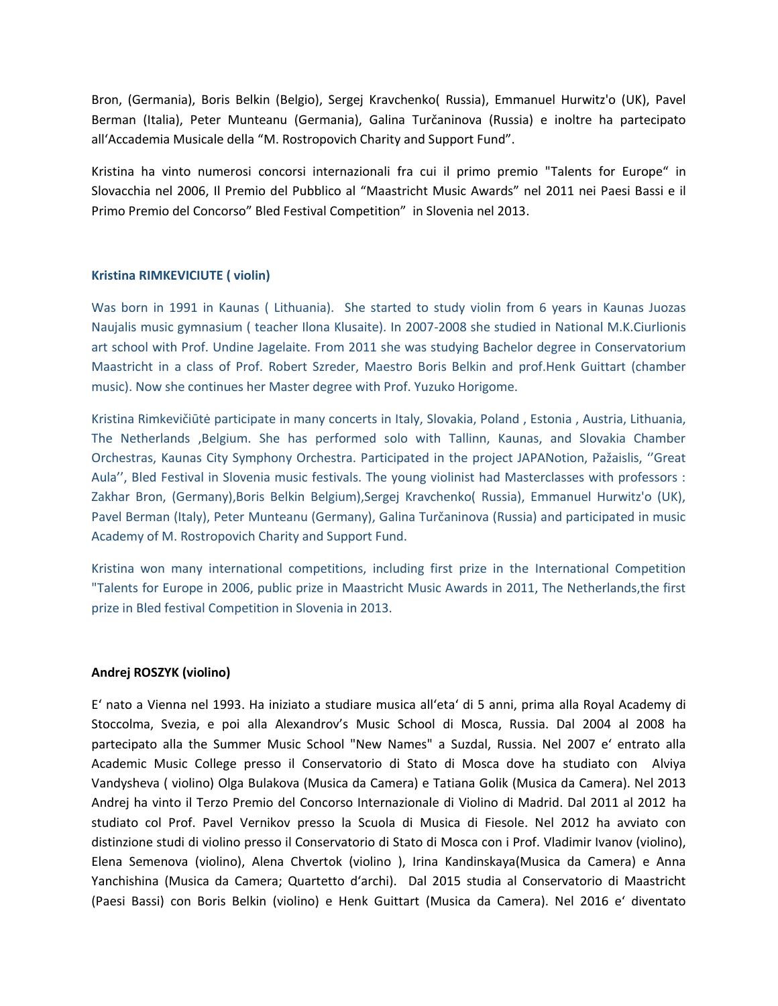Bron, (Germania), Boris Belkin (Belgio), Sergej Kravchenko( Russia), Emmanuel Hurwitz'o (UK), Pavel Berman (Italia), Peter Munteanu (Germania), Galina Turčaninova (Russia) e inoltre ha partecipato all'Accademia Musicale della "M. Rostropovich Charity and Support Fund".

Kristina ha vinto numerosi concorsi internazionali fra cui il primo premio "Talents for Europe" in Slovacchia nel 2006, Il Premio del Pubblico al "Maastricht Music Awards" nel 2011 nei Paesi Bassi e il Primo Premio del Concorso" Bled Festival Competition" in Slovenia nel 2013.

# **Kristina RIMKEVICIUTE ( violin)**

Was born in 1991 in Kaunas ( Lithuania). She started to study violin from 6 years in Kaunas Juozas Naujalis music gymnasium ( teacher Ilona Klusaite). In 2007-2008 she studied in National M.K.Ciurlionis art school with Prof. Undine Jagelaite. From 2011 she was studying Bachelor degree in Conservatorium Maastricht in a class of Prof. Robert Szreder, Maestro Boris Belkin and prof.Henk Guittart (chamber music). Now she continues her Master degree with Prof. Yuzuko Horigome.

Kristina Rimkevičiūtė participate in many concerts in Italy, Slovakia, Poland , Estonia , Austria, Lithuania, The Netherlands ,Belgium. She has performed solo with Tallinn, Kaunas, and Slovakia Chamber Orchestras, Kaunas City Symphony Orchestra. Participated in the project JAPANotion, Pažaislis, ''Great Aula'', Bled Festival in Slovenia music festivals. The young violinist had Masterclasses with professors : Zakhar Bron, (Germany),Boris Belkin Belgium),Sergej Kravchenko( Russia), Emmanuel Hurwitz'o (UK), Pavel Berman (Italy), Peter Munteanu (Germany), Galina Turčaninova (Russia) and participated in music Academy of M. Rostropovich Charity and Support Fund.

Kristina won many international competitions, including first prize in the International Competition "Talents for Europe in 2006, public prize in Maastricht Music Awards in 2011, The Netherlands,the first prize in Bled festival Competition in Slovenia in 2013.

### **Andrej ROSZYK (violino)**

E' nato a Vienna nel 1993. Ha iniziato a studiare musica all'eta' di 5 anni, prima alla Royal Academy di Stoccolma, Svezia, e poi alla Alexandrov's Music School di Mosca, Russia. Dal 2004 al 2008 ha partecipato alla the Summer Music School "New Names" a Suzdal, Russia. Nel 2007 e' entrato alla Academic Music College presso il Conservatorio di Stato di Mosca dove ha studiato con Alviya Vandysheva ( violino) Olga Bulakova (Musica da Camera) e Tatiana Golik (Musica da Camera). Nel 2013 Andrej ha vinto il Terzo Premio del Concorso Internazionale di Violino di Madrid. Dal 2011 al 2012 ha studiato col Prof. Pavel Vernikov presso la Scuola di Musica di Fiesole. Nel 2012 ha avviato con distinzione studi di violino presso il Conservatorio di Stato di Mosca con i Prof. Vladimir Ivanov (violino), Elena Semenova (violino), Alena Chvertok (violino ), Irina Kandinskaya(Musica da Camera) e Anna Yanchishina (Musica da Camera; Quartetto d'archi). Dal 2015 studia al Conservatorio di Maastricht (Paesi Bassi) con Boris Belkin (violino) e Henk Guittart (Musica da Camera). Nel 2016 e' diventato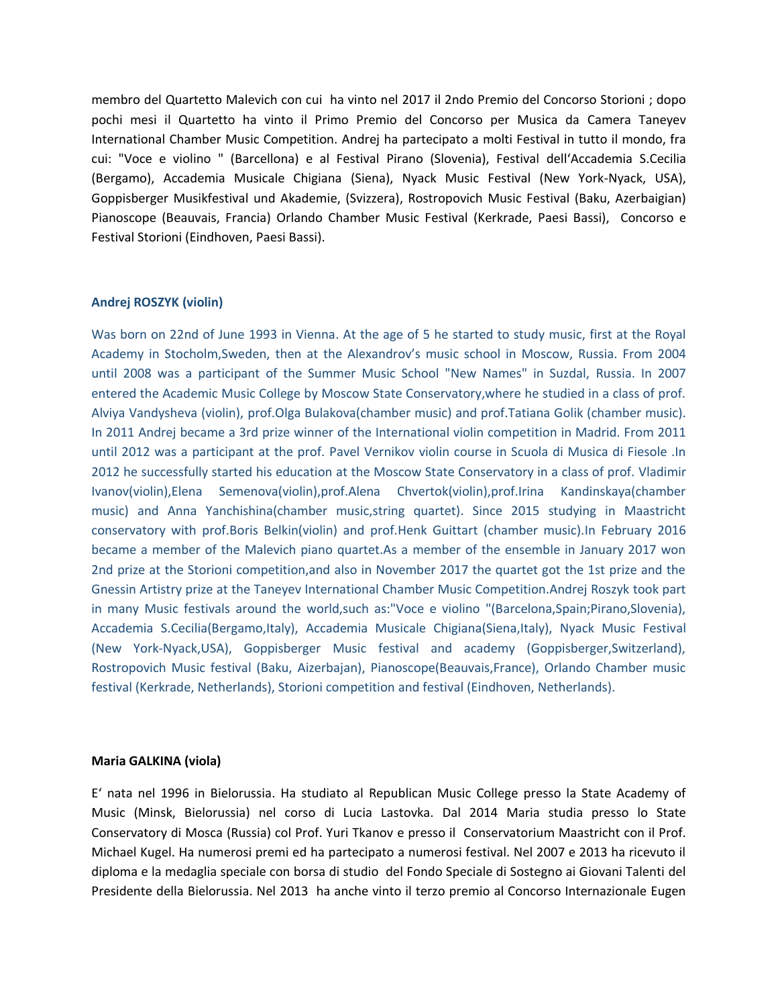membro del Quartetto Malevich con cui ha vinto nel 2017 il 2ndo Premio del Concorso Storioni ; dopo pochi mesi il Quartetto ha vinto il Primo Premio del Concorso per Musica da Camera Taneyev International Chamber Music Competition. Andrej ha partecipato a molti Festival in tutto il mondo, fra cui: "Voce e violino " (Barcellona) e al Festival Pirano (Slovenia), Festival dell'Accademia S.Cecilia (Bergamo), Accademia Musicale Chigiana (Siena), Nyack Music Festival (New York-Nyack, USA), Goppisberger Musikfestival und Akademie, (Svizzera), Rostropovich Music Festival (Baku, Azerbaigian) Pianoscope (Beauvais, Francia) Orlando Chamber Music Festival (Kerkrade, Paesi Bassi), Concorso e Festival Storioni (Eindhoven, Paesi Bassi).

### **Andrej ROSZYK (violin)**

Was born on 22nd of June 1993 in Vienna. At the age of 5 he started to study music, first at the Royal Academy in Stocholm,Sweden, then at the Alexandrov's music school in Moscow, Russia. From 2004 until 2008 was a participant of the Summer Music School "New Names" in Suzdal, Russia. In 2007 entered the Academic Music College by Moscow State Conservatory,where he studied in a class of prof. Alviya Vandysheva (violin), prof.Olga Bulakova(chamber music) and prof.Tatiana Golik (chamber music). In 2011 Andrej became a 3rd prize winner of the International violin competition in Madrid. From 2011 until 2012 was a participant at the prof. Pavel Vernikov violin course in Scuola di Musica di Fiesole .In 2012 he successfully started his education at the Moscow State Conservatory in a class of prof. Vladimir Ivanov(violin),Elena Semenova(violin),prof.Alena Chvertok(violin),prof.Irina Kandinskaya(chamber music) and Anna Yanchishina(chamber music,string quartet). Since 2015 studying in Maastricht conservatory with prof.Boris Belkin(violin) and prof.Henk Guittart (chamber music).In February 2016 became a member of the Malevich piano quartet.As a member of the ensemble in January 2017 won 2nd prize at the Storioni competition,and also in November 2017 the quartet got the 1st prize and the Gnessin Artistry prize at the Taneyev International Chamber Music Competition.Andrej Roszyk took part in many Music festivals around the world,such as:"Voce e violino "(Barcelona,Spain;Pirano,Slovenia), Accademia S.Cecilia(Bergamo,Italy), Accademia Musicale Chigiana(Siena,Italy), Nyack Music Festival (New York-Nyack,USA), Goppisberger Music festival and academy (Goppisberger,Switzerland), Rostropovich Music festival (Baku, Aizerbajan), Pianoscope(Beauvais,France), Orlando Chamber music festival (Kerkrade, Netherlands), Storioni competition and festival (Eindhoven, Netherlands).

### **Maria GALKINA (viola)**

E' nata nel 1996 in Bielorussia. Ha studiato al Republican Music College presso la State Academy of Music (Minsk, Bielorussia) nel corso di Lucia Lastovka. Dal 2014 Maria studia presso lo State Conservatory di Mosca (Russia) col Prof. Yuri Tkanov e presso il Conservatorium Maastricht con il Prof. Michael Kugel. Ha numerosi premi ed ha partecipato a numerosi festival. Nel 2007 e 2013 ha ricevuto il diploma e la medaglia speciale con borsa di studio del Fondo Speciale di Sostegno ai Giovani Talenti del Presidente della Bielorussia. Nel 2013 ha anche vinto il terzo premio al Concorso Internazionale Eugen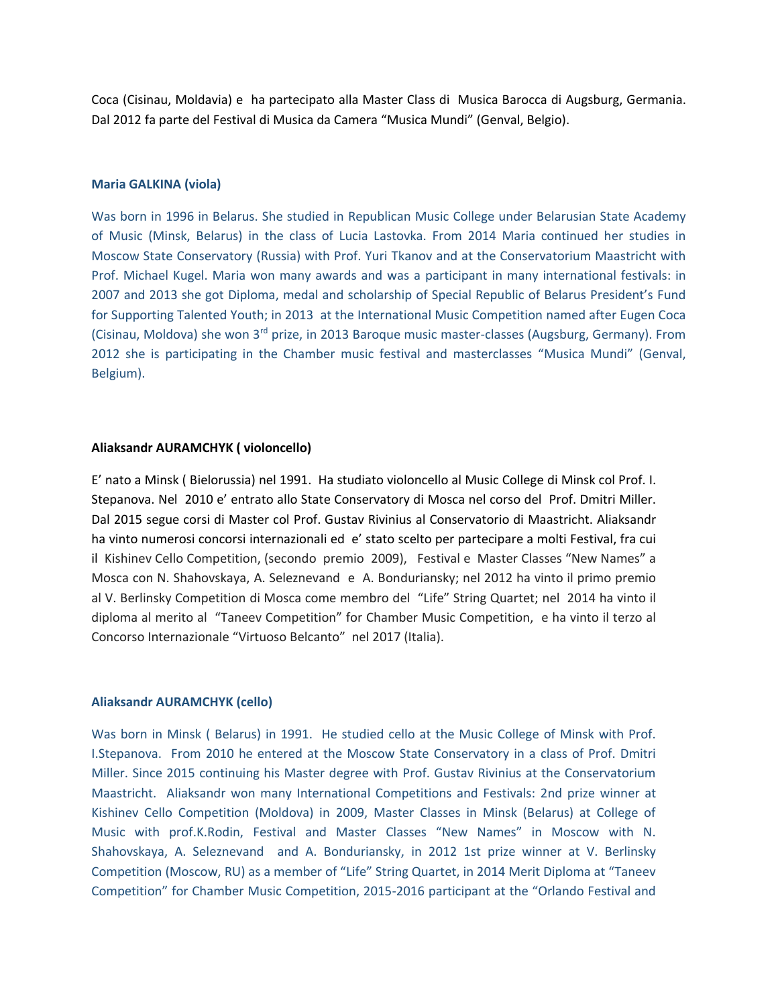Coca (Cisinau, Moldavia) e ha partecipato alla Master Class di Musica Barocca di Augsburg, Germania. Dal 2012 fa parte del Festival di Musica da Camera "Musica Mundi" (Genval, Belgio).

### **Maria GALKINA (viola)**

Was born in 1996 in Belarus. She studied in Republican Music College under Belarusian State Academy of Music (Minsk, Belarus) in the class of Lucia Lastovka. From 2014 Maria continued her studies in Moscow State Conservatory (Russia) with Prof. Yuri Tkanov and at the Conservatorium Maastricht with Prof. Michael Kugel. Maria won many awards and was a participant in many international festivals: in 2007 and 2013 she got Diploma, medal and scholarship of Special Republic of Belarus President's Fund for Supporting Talented Youth; in 2013 at the International Music Competition named after Eugen Coca (Cisinau, Moldova) she won 3rd prize, in 2013 Baroque music master-classes (Augsburg, Germany). From 2012 she is participating in the Chamber music festival and masterclasses "Musica Mundi" (Genval, Belgium).

#### **Aliaksandr AURAMCHYK ( violoncello)**

E' nato a Minsk ( Bielorussia) nel 1991. Ha studiato violoncello al Music College di Minsk col Prof. I. Stepanova. Nel 2010 e' entrato allo State Conservatory di Mosca nel corso del Prof. Dmitri Miller. Dal 2015 segue corsi di Master col Prof. Gustav Rivinius al Conservatorio di Maastricht. Aliaksandr ha vinto numerosi concorsi internazionali ed e' stato scelto per partecipare a molti Festival, fra cui il Kishinev Cello Competition, (secondo premio 2009), Festival e Master Classes "New Names" a Mosca con N. Shahovskaya, A. Seleznevand e A. Bonduriansky; nel 2012 ha vinto il primo premio al V. Berlinsky Competition di Mosca come membro del "Life" String Quartet; nel 2014 ha vinto il diploma al merito al "Taneev Competition" for Chamber Music Competition, e ha vinto il terzo al Concorso Internazionale "Virtuoso Belcanto" nel 2017 (Italia).

#### **Aliaksandr AURAMCHYK (cello)**

Was born in Minsk ( Belarus) in 1991. He studied cello at the Music College of Minsk with Prof. I.Stepanova. From 2010 he entered at the Moscow State Conservatory in a class of Prof. Dmitri Miller. Since 2015 continuing his Master degree with Prof. Gustav Rivinius at the Conservatorium Maastricht. Aliaksandr won many International Competitions and Festivals: 2nd prize winner at Kishinev Cello Competition (Moldova) in 2009, Master Classes in Minsk (Belarus) at College of Music with prof.K.Rodin, Festival and Master Classes "New Names" in Moscow with N. Shahovskaya, A. Seleznevand and A. Bonduriansky, in 2012 1st prize winner at V. Berlinsky Competition (Moscow, RU) as a member of "Life" String Quartet, in 2014 Merit Diploma at "Taneev Competition" for Chamber Music Competition, 2015-2016 participant at the "Orlando Festival and